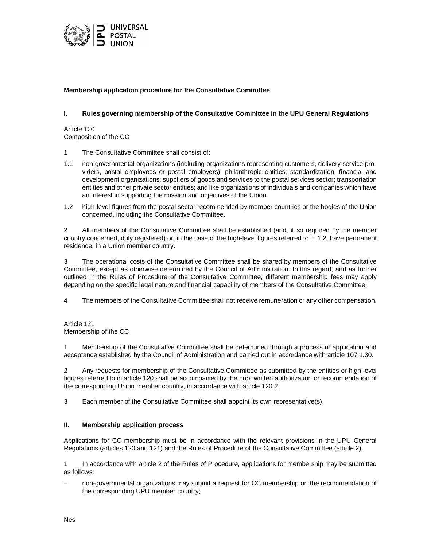

## **Membership application procedure for the Consultative Committee**

## **I. Rules governing membership of the Consultative Committee in the UPU General Regulations**

Article 120 Composition of the CC

- 1 The Consultative Committee shall consist of:
- 1.1 non-governmental organizations (including organizations representing customers, delivery service providers, postal employees or postal employers); philanthropic entities; standardization, financial and development organizations; suppliers of goods and services to the postal services sector; transportation entities and other private sector entities; and like organizations of individuals and companies which have an interest in supporting the mission and objectives of the Union;
- 1.2 high-level figures from the postal sector recommended by member countries or the bodies of the Union concerned, including the Consultative Committee.

2 All members of the Consultative Committee shall be established (and, if so required by the member country concerned, duly registered) or, in the case of the high-level figures referred to in 1.2, have permanent residence, in a Union member country.

3 The operational costs of the Consultative Committee shall be shared by members of the Consultative Committee, except as otherwise determined by the Council of Administration. In this regard, and as further outlined in the Rules of Procedure of the Consultative Committee, different membership fees may apply depending on the specific legal nature and financial capability of members of the Consultative Committee.

4 The members of the Consultative Committee shall not receive remuneration or any other compensation.

Article 121 Membership of the CC

1 Membership of the Consultative Committee shall be determined through a process of application and acceptance established by the Council of Administration and carried out in accordance with article 107.1.30.

2 Any requests for membership of the Consultative Committee as submitted by the entities or high-level figures referred to in article 120 shall be accompanied by the prior written authorization or recommendation of the corresponding Union member country, in accordance with article 120.2.

3 Each member of the Consultative Committee shall appoint its own representative(s).

## **II. Membership application process**

Applications for CC membership must be in accordance with the relevant provisions in the UPU General Regulations (articles 120 and 121) and the Rules of Procedure of the Consultative Committee (article 2).

1 In accordance with article 2 of the Rules of Procedure, applications for membership may be submitted as follows:

– non-governmental organizations may submit a request for CC membership on the recommendation of the corresponding UPU member country;